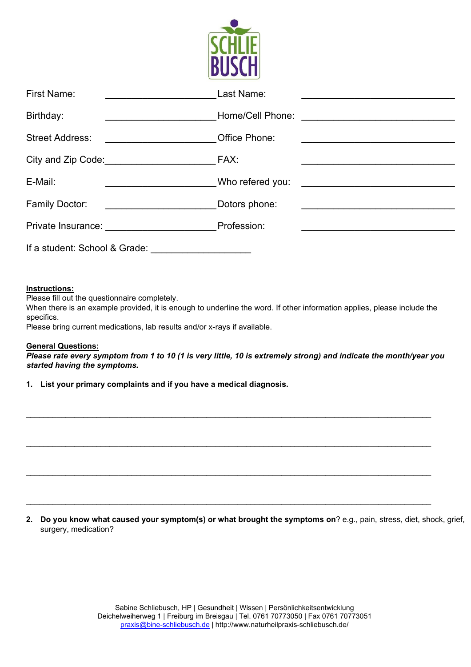

| <b>First Name:</b>                               | Last Name:                                                                                                            |
|--------------------------------------------------|-----------------------------------------------------------------------------------------------------------------------|
|                                                  |                                                                                                                       |
| Birthday:                                        | Home/Cell Phone:                                                                                                      |
| <u> 1980 - Johann Barbara, martin a</u>          | <u> 1980 - John Stein, mars and de Brazilian (b. 1980)</u>                                                            |
| <b>Street Address:</b>                           | Office Phone:                                                                                                         |
|                                                  |                                                                                                                       |
| City and Zip Code: City and Zip Code:            | FAX:                                                                                                                  |
| E-Mail:                                          | Who refered you:                                                                                                      |
|                                                  | <u> 1980 - Antonio Alemania, prima prestava a prestava prestava a prestava a prestava a prestava a prestava a pre</u> |
| <b>Family Doctor:</b>                            | Dotors phone:                                                                                                         |
|                                                  |                                                                                                                       |
| Private Insurance: 2008. [19] Private Insurance: | Profession:                                                                                                           |
| If a student: School & Grade:                    |                                                                                                                       |

## **Instructions:**

Please fill out the questionnaire completely.

When there is an example provided, it is enough to underline the word. If other information applies, please include the specifics.

Please bring current medications, lab results and/or x-rays if available.

## **General Questions:**

*Please rate every symptom from 1 to 10 (1 is very little, 10 is extremely strong) and indicate the month/year you started having the symptoms.*

\_\_\_\_\_\_\_\_\_\_\_\_\_\_\_\_\_\_\_\_\_\_\_\_\_\_\_\_\_\_\_\_\_\_\_\_\_\_\_\_\_\_\_\_\_\_\_\_\_\_\_\_\_\_\_\_\_\_\_\_\_\_\_\_\_\_\_\_\_\_\_\_\_\_\_\_\_\_\_\_\_\_\_\_\_\_\_\_\_\_\_\_

\_\_\_\_\_\_\_\_\_\_\_\_\_\_\_\_\_\_\_\_\_\_\_\_\_\_\_\_\_\_\_\_\_\_\_\_\_\_\_\_\_\_\_\_\_\_\_\_\_\_\_\_\_\_\_\_\_\_\_\_\_\_\_\_\_\_\_\_\_\_\_\_\_\_\_\_\_\_\_\_\_\_\_\_\_\_\_\_\_\_\_\_

\_\_\_\_\_\_\_\_\_\_\_\_\_\_\_\_\_\_\_\_\_\_\_\_\_\_\_\_\_\_\_\_\_\_\_\_\_\_\_\_\_\_\_\_\_\_\_\_\_\_\_\_\_\_\_\_\_\_\_\_\_\_\_\_\_\_\_\_\_\_\_\_\_\_\_\_\_\_\_\_\_\_\_\_\_\_\_\_\_\_\_\_

**1. List your primary complaints and if you have a medical diagnosis.**

**2. Do you know what caused your symptom(s) or what brought the symptoms on**? e.g., pain, stress, diet, shock, grief, surgery, medication?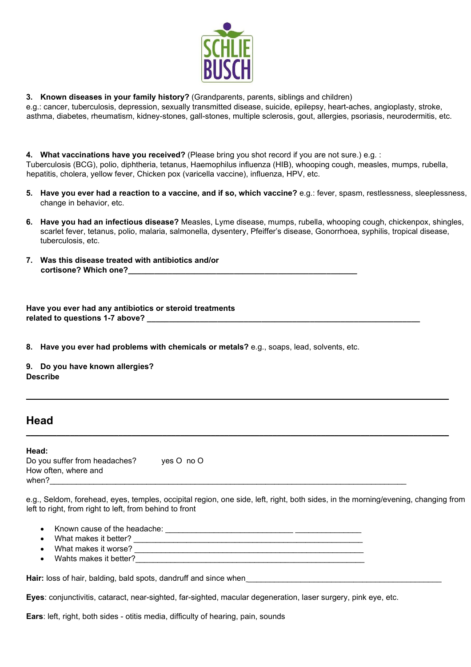

**3. Known diseases in your family history?** (Grandparents, parents, siblings and children)

e.g.: cancer, tuberculosis, depression, sexually transmitted disease, suicide, epilepsy, heart-aches, angioplasty, stroke, asthma, diabetes, rheumatism, kidney-stones, gall-stones, multiple sclerosis, gout, allergies, psoriasis, neurodermitis, etc.

**4. What vaccinations have you received?** (Please bring you shot record if you are not sure.) e.g. : Tuberculosis (BCG), polio, diphtheria, tetanus, Haemophilus influenza (HIB), whooping cough, measles, mumps, rubella, hepatitis, cholera, yellow fever, Chicken pox (varicella vaccine), influenza, HPV, etc.

- **5. Have you ever had a reaction to a vaccine, and if so, which vaccine?** e.g.: fever, spasm, restlessness, sleeplessness, change in behavior, etc.
- **6. Have you had an infectious disease?** Measles, Lyme disease, mumps, rubella, whooping cough, chickenpox, shingles, scarlet fever, tetanus, polio, malaria, salmonella, dysentery, Pfeiffer's disease, Gonorrhoea, syphilis, tropical disease, tuberculosis, etc.
- **7. Was this disease treated with antibiotics and/or cortisone? Which one?\_\_\_\_\_\_\_\_\_\_\_\_\_\_\_\_\_\_\_\_\_\_\_\_\_\_\_\_\_\_\_\_\_\_\_\_\_\_\_\_\_\_\_\_\_\_\_\_\_\_\_\_**

| Have you ever had any antibiotics or steroid treatments |  |
|---------------------------------------------------------|--|
| related to questions 1-7 above?                         |  |

**8. Have you ever had problems with chemicals or metals?** e.g., soaps, lead, solvents, etc.

**9. Do you have known allergies? Describe**

# **Head**

**Head:** Do you suffer from headaches? yes O no O How often, where and when?\_\_\_\_\_\_\_\_\_\_\_\_\_\_\_\_\_\_\_\_\_\_\_\_\_\_\_\_\_\_\_\_\_\_\_\_\_\_\_\_\_\_\_\_\_\_\_\_\_\_\_\_\_\_\_\_\_\_\_\_\_\_\_\_\_\_\_\_\_\_\_\_\_\_\_\_\_\_\_\_\_

e.g., Seldom, forehead, eyes, temples, occipital region, one side, left, right, both sides, in the morning/evening, changing from left to right, from right to left, from behind to front

**\_\_\_\_\_\_\_\_\_\_\_\_\_\_\_\_\_\_\_\_\_\_\_\_\_\_\_\_\_\_\_\_\_\_\_\_\_\_\_\_\_\_\_\_\_\_\_\_\_\_\_\_\_\_\_\_\_\_\_\_\_\_\_\_\_\_\_\_\_\_\_\_\_\_\_\_\_\_\_\_\_\_\_\_\_\_\_\_\_\_\_\_\_\_\_\_**

**\_\_\_\_\_\_\_\_\_\_\_\_\_\_\_\_\_\_\_\_\_\_\_\_\_\_\_\_\_\_\_\_\_\_\_\_\_\_\_\_\_\_\_\_\_\_\_\_\_\_\_\_\_\_\_\_\_\_\_\_\_\_\_\_\_\_\_\_\_\_\_\_\_\_\_\_\_\_\_\_\_\_\_\_\_\_\_\_\_\_\_\_\_\_\_\_**

- Known cause of the headache: \_\_\_\_\_\_\_\_\_\_\_\_\_\_\_\_\_\_\_\_\_\_\_\_\_\_\_\_\_ \_\_\_\_\_\_\_\_\_\_\_\_\_\_\_
- What makes it better?
- What makes it worse? **What makes it worse? What makes it worse? What makes** it worse?
- Wahts makes it better?

**Hair:** loss of hair, balding, bald spots, dandruff and since when

**Eyes**: conjunctivitis, cataract, near-sighted, far-sighted, macular degeneration, laser surgery, pink eye, etc.

**Ears**: left, right, both sides - otitis media, difficulty of hearing, pain, sounds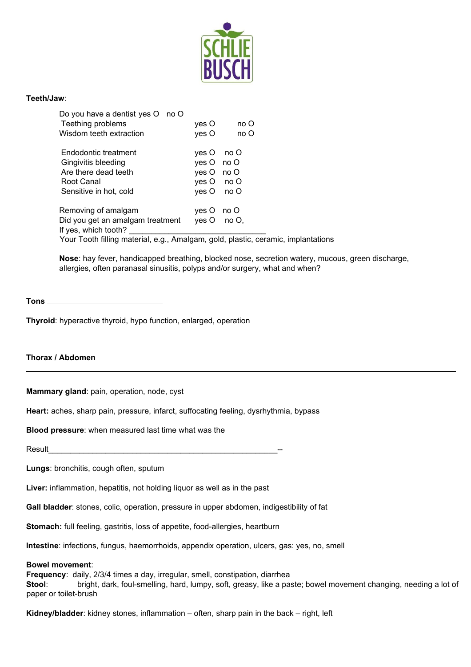

## **Teeth/Jaw**:

| Do you have a dentist yes O no O                               |              |             |  |
|----------------------------------------------------------------|--------------|-------------|--|
| Teething problems                                              | yes O        | no O        |  |
| Wisdom teeth extraction                                        | yes O        | no O        |  |
| Endodontic treatment                                           | yes O no O   |             |  |
| Gingivitis bleeding                                            | yes O no O   |             |  |
| Are there dead teeth                                           | yes O no O   |             |  |
| Root Canal                                                     | yes O no O   |             |  |
| Sensitive in hot, cold                                         | $yes O$ no O |             |  |
| Removing of amalgam                                            | yes O no O   |             |  |
| Did you get an amalgam treatment                               |              | yes O no O, |  |
| If yes, which tooth?                                           |              |             |  |
| Your Tooth filling material e.g. Amalgam, gold, plastic, ceram |              |             |  |

Your Tooth filling material, e.g., Amalgam, gold, plastic, ceramic, implantations

**Nose**: hay fever, handicapped breathing, blocked nose, secretion watery, mucous, green discharge, allergies, often paranasal sinusitis, polyps and/or surgery, what and when?

#### **Tons**

**Thyroid**: hyperactive thyroid, hypo function, enlarged, operation

## **Thorax / Abdomen**

**Mammary gland**: pain, operation, node, cyst

**Heart:** aches, sharp pain, pressure, infarct, suffocating feeling, dysrhythmia, bypass

**Blood pressure**: when measured last time what was the

Result

**Lungs**: bronchitis, cough often, sputum

Liver: inflammation, hepatitis, not holding liquor as well as in the past

**Gall bladder**: stones, colic, operation, pressure in upper abdomen, indigestibility of fat

**Stomach:** full feeling, gastritis, loss of appetite, food-allergies, heartburn

**Intestine**: infections, fungus, haemorrhoids, appendix operation, ulcers, gas: yes, no, smell

#### **Bowel movement**:

**Frequency**: daily, 2/3/4 times a day, irregular, smell, constipation, diarrhea **Stool**: bright, dark, foul-smelling, hard, lumpy, soft, greasy, like a paste; bowel movement changing, needing a lot of paper or toilet-brush

**Kidney/bladder**: kidney stones, inflammation – often, sharp pain in the back – right, left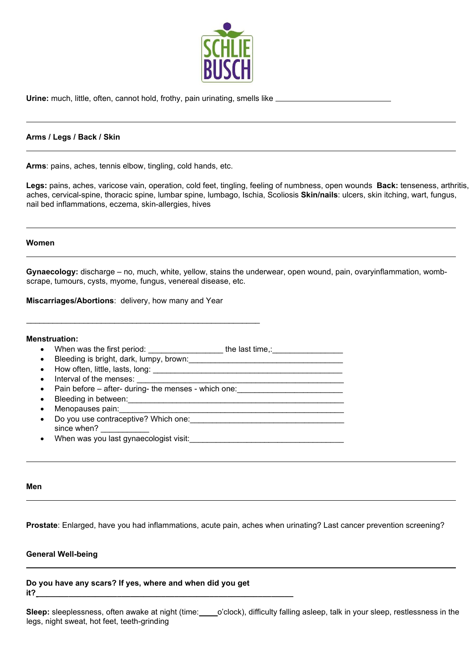

Urine: much, little, often, cannot hold, frothy, pain urinating, smells like **constants and the constants of the** 

### **Arms / Legs / Back / Skin**

**Arms**: pains, aches, tennis elbow, tingling, cold hands, etc.

**Legs:** pains, aches, varicose vain, operation, cold feet, tingling, feeling of numbness, open wounds **Back:** tenseness, arthritis, aches, cervical-spine, thoracic spine, lumbar spine, lumbago, Ischia, Scoliosis **Skin/nails**: ulcers, skin itching, wart, fungus, nail bed inflammations, eczema, skin-allergies, hives

#### **Women**

**Gynaecology:** discharge – no, much, white, yellow, stains the underwear, open wound, pain, ovaryinflammation, wombscrape, tumours, cysts, myome, fungus, venereal disease, etc.

**Miscarriages/Abortions**: delivery, how many and Year

#### **Menstruation:**

- When was the first period:  $\frac{1}{\sqrt{1-\frac{1}{2}}}\$  the last time,:  $\frac{1}{\sqrt{1-\frac{1}{2}}}\$
- Bleeding is bright, dark, lumpy, brown:
- How often, little, lasts, long: \_\_\_\_\_\_\_\_\_\_\_\_\_\_\_\_\_\_\_\_\_\_\_\_\_\_\_\_\_\_\_\_\_\_\_\_\_\_\_\_\_\_\_
- Interval of the menses:
- Pain before after- during- the menses which one:

\_\_\_\_\_\_\_\_\_\_\_\_\_\_\_\_\_\_\_\_\_\_\_\_\_\_\_\_\_\_\_\_\_\_\_\_\_\_\_\_\_\_\_\_\_\_\_\_\_\_\_\_\_

- Bleeding in between:
- Menopauses pain:
- Do you use contraceptive? Which one: since when?
- When was you last gynaecologist visit:

#### **Men**

**Prostate**: Enlarged, have you had inflammations, acute pain, aches when urinating? Last cancer prevention screening?

### **General Well-being**

**Do you have any scars? If yes, where and when did you get it? \_\_\_\_\_\_\_\_\_\_\_\_\_\_\_\_\_\_\_\_\_\_\_\_\_\_\_\_\_\_\_\_\_\_\_\_\_\_\_\_\_\_\_\_\_\_\_\_\_\_\_\_\_\_\_\_\_\_**

**Sleep:** sleeplessness, often awake at night (time: o'clock), difficulty falling asleep, talk in your sleep, restlessness in the legs, night sweat, hot feet, teeth-grinding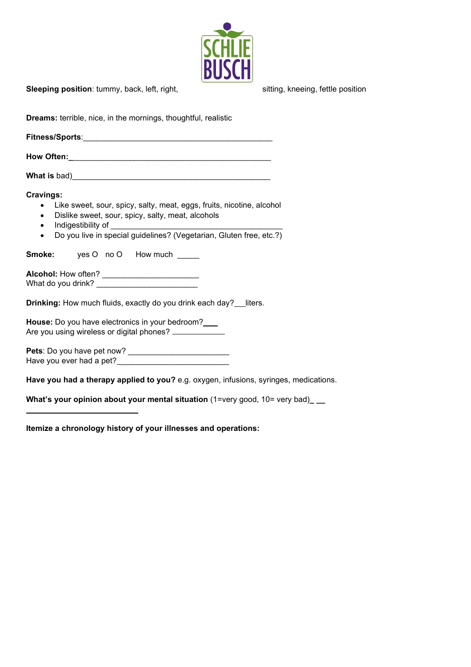

**Sleeping position**: tummy, back, left, right, state and sitting, kneeing, fettle position

| <b>Dreams:</b> terrible, nice, in the mornings, thoughtful, realistic                                                                                                                                                                             |  |  |  |  |
|---------------------------------------------------------------------------------------------------------------------------------------------------------------------------------------------------------------------------------------------------|--|--|--|--|
|                                                                                                                                                                                                                                                   |  |  |  |  |
|                                                                                                                                                                                                                                                   |  |  |  |  |
|                                                                                                                                                                                                                                                   |  |  |  |  |
| <b>Cravings:</b><br>• Like sweet, sour, spicy, salty, meat, eggs, fruits, nicotine, alcohol<br>Dislike sweet, sour, spicy, salty, meat, alcohols<br>$\bullet$<br>Do you live in special guidelines? (Vegetarian, Gluten free, etc.?)<br>$\bullet$ |  |  |  |  |
| <b>Smoke:</b> yes O no O How much _____                                                                                                                                                                                                           |  |  |  |  |
|                                                                                                                                                                                                                                                   |  |  |  |  |
| <b>Drinking:</b> How much fluids, exactly do you drink each day? __ liters.                                                                                                                                                                       |  |  |  |  |
| House: Do you have electronics in your bedroom?<br>Are you using wireless or digital phones? _____________                                                                                                                                        |  |  |  |  |
|                                                                                                                                                                                                                                                   |  |  |  |  |
|                                                                                                                                                                                                                                                   |  |  |  |  |

**Have you had a therapy applied to you?** e.g. oxygen, infusions, syringes, medications.

**What's your opinion about your mental situation** (1=very good, 10= very bad)\_ \_\_

**Itemize a chronology history of your illnesses and operations:**